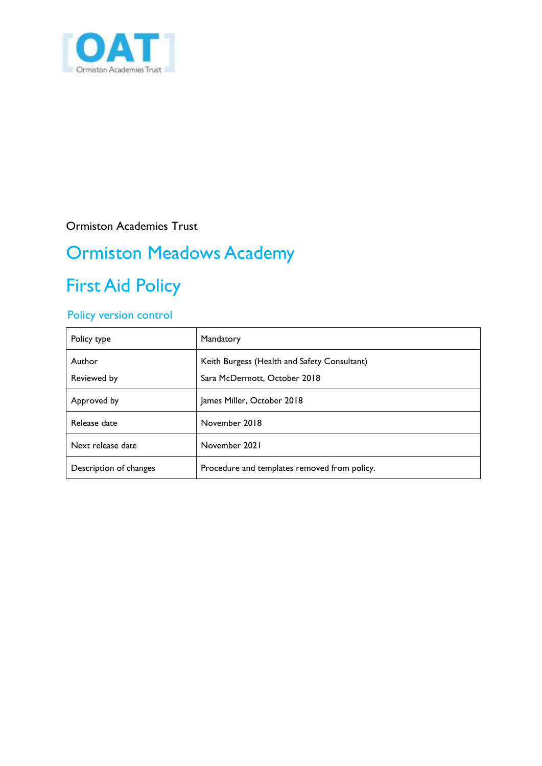

Ormiston Academies Trust

# Ormiston Meadows Academy

## First Aid Policy

### Policy version control

| Policy type            | Mandatory                                                                    |
|------------------------|------------------------------------------------------------------------------|
| Author<br>Reviewed by  | Keith Burgess (Health and Safety Consultant)<br>Sara McDermott, October 2018 |
| Approved by            | James Miller, October 2018                                                   |
| Release date           | November 2018                                                                |
| Next release date      | November 2021                                                                |
| Description of changes | Procedure and templates removed from policy.                                 |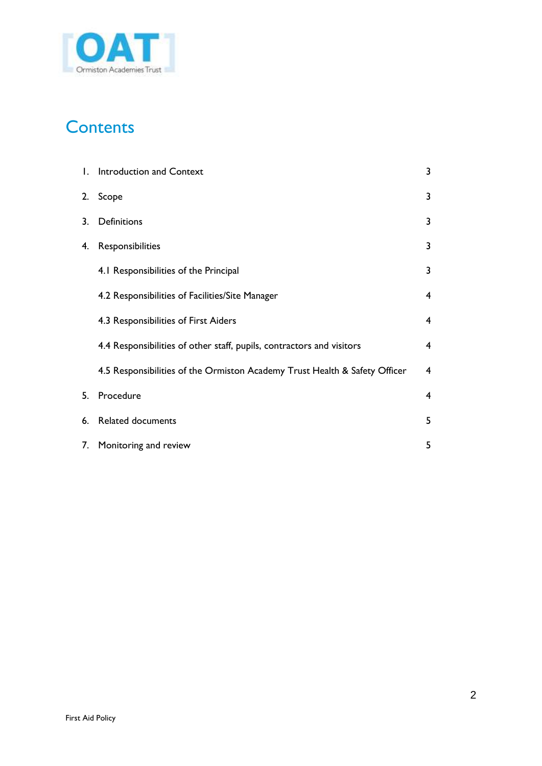

## **Contents**

|    | 1. Introduction and Context                                                | 3              |
|----|----------------------------------------------------------------------------|----------------|
| 2. | Scope                                                                      | 3              |
| 3. | Definitions                                                                | 3              |
| 4. | Responsibilities                                                           | 3              |
|    | 4.1 Responsibilities of the Principal                                      | 3              |
|    | 4.2 Responsibilities of Facilities/Site Manager                            | 4              |
|    | 4.3 Responsibilities of First Aiders                                       | $\overline{4}$ |
|    | 4.4 Responsibilities of other staff, pupils, contractors and visitors      | 4              |
|    | 4.5 Responsibilities of the Ormiston Academy Trust Health & Safety Officer | $\overline{4}$ |
| 5. | Procedure                                                                  | 4              |
| 6. | Related documents                                                          | 5              |
| 7. | Monitoring and review                                                      | 5              |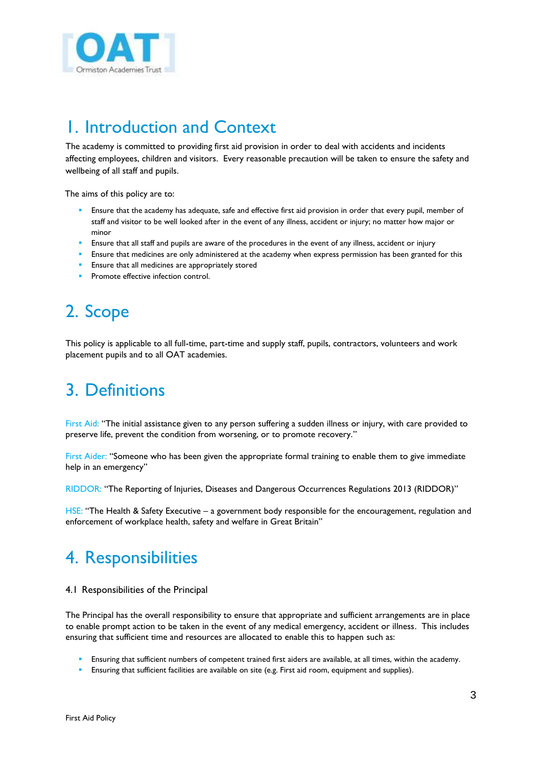

### 1. Introduction and Context

The academy is committed to providing first aid provision in order to deal with accidents and incidents affecting employees, children and visitors. Every reasonable precaution will be taken to ensure the safety and wellbeing of all staff and pupils.

The aims of this policy are to:

- Ensure that the academy has adequate, safe and effective first aid provision in order that every pupil, member of staff and visitor to be well looked after in the event of any illness, accident or injury; no matter how major or minor
- Ensure that all staff and pupils are aware of the procedures in the event of any illness, accident or injury
- Ensure that medicines are only administered at the academy when express permission has been granted for this
- Ensure that all medicines are appropriately stored
- Promote effective infection control.

## 2. Scope

This policy is applicable to all full-time, part-time and supply staff, pupils, contractors, volunteers and work placement pupils and to all OAT academies.

### 3. Definitions

First Aid: "The initial assistance given to any person suffering a sudden illness or injury, with care provided to preserve life, prevent the condition from worsening, or to promote recovery."

First Aider: "Someone who has been given the appropriate formal training to enable them to give immediate help in an emergency"

RIDDOR: "The Reporting of Injuries, Diseases and Dangerous Occurrences Regulations 2013 (RIDDOR)"

HSE: "The Health & Safety Executive – a government body responsible for the encouragement, regulation and enforcement of workplace health, safety and welfare in Great Britain"

## 4. Responsibilities

#### 4.1 Responsibilities of the Principal

The Principal has the overall responsibility to ensure that appropriate and sufficient arrangements are in place to enable prompt action to be taken in the event of any medical emergency, accident or illness. This includes ensuring that sufficient time and resources are allocated to enable this to happen such as:

- Ensuring that sufficient numbers of competent trained first aiders are available, at all times, within the academy.
- Ensuring that sufficient facilities are available on site (e.g. First aid room, equipment and supplies).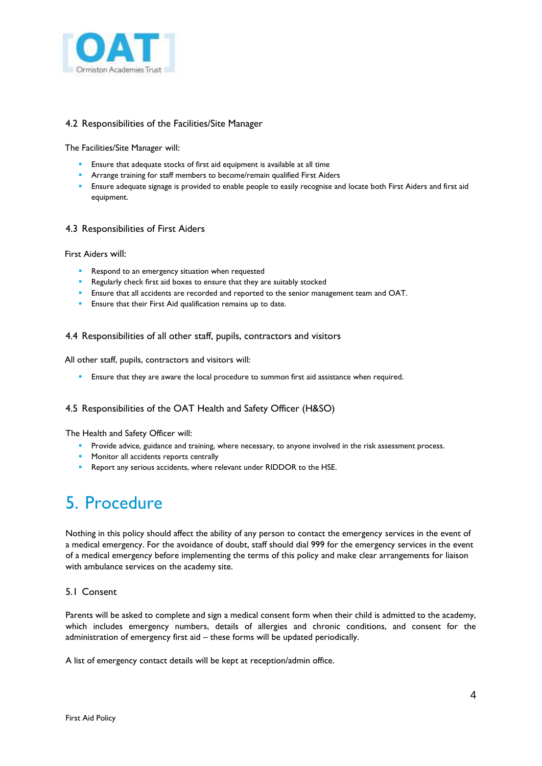

#### 4.2 Responsibilities of the Facilities/Site Manager

The Facilities/Site Manager will:

- **Ensure that adequate stocks of first aid equipment is available at all time**
- **Arrange training for staff members to become/remain qualified First Aiders**
- Ensure adequate signage is provided to enable people to easily recognise and locate both First Aiders and first aid equipment.

#### 4.3 Responsibilities of First Aiders

First Aiders will:

- Respond to an emergency situation when requested
- Regularly check first aid boxes to ensure that they are suitably stocked
- Ensure that all accidents are recorded and reported to the senior management team and OAT.
- Ensure that their First Aid qualification remains up to date.

#### 4.4 Responsibilities of all other staff, pupils, contractors and visitors

All other staff, pupils, contractors and visitors will:

Ensure that they are aware the local procedure to summon first aid assistance when required.

#### 4.5 Responsibilities of the OAT Health and Safety Officer (H&SO)

The Health and Safety Officer will:

- **Provide advice, guidance and training, where necessary, to anyone involved in the risk assessment process.**
- **Monitor all accidents reports centrally**
- Report any serious accidents, where relevant under RIDDOR to the HSE.

## 5. Procedure

Nothing in this policy should affect the ability of any person to contact the emergency services in the event of a medical emergency. For the avoidance of doubt, staff should dial 999 for the emergency services in the event of a medical emergency before implementing the terms of this policy and make clear arrangements for liaison with ambulance services on the academy site.

#### 5.1 Consent

Parents will be asked to complete and sign a medical consent form when their child is admitted to the academy, which includes emergency numbers, details of allergies and chronic conditions, and consent for the administration of emergency first aid – these forms will be updated periodically.

A list of emergency contact details will be kept at reception/admin office.